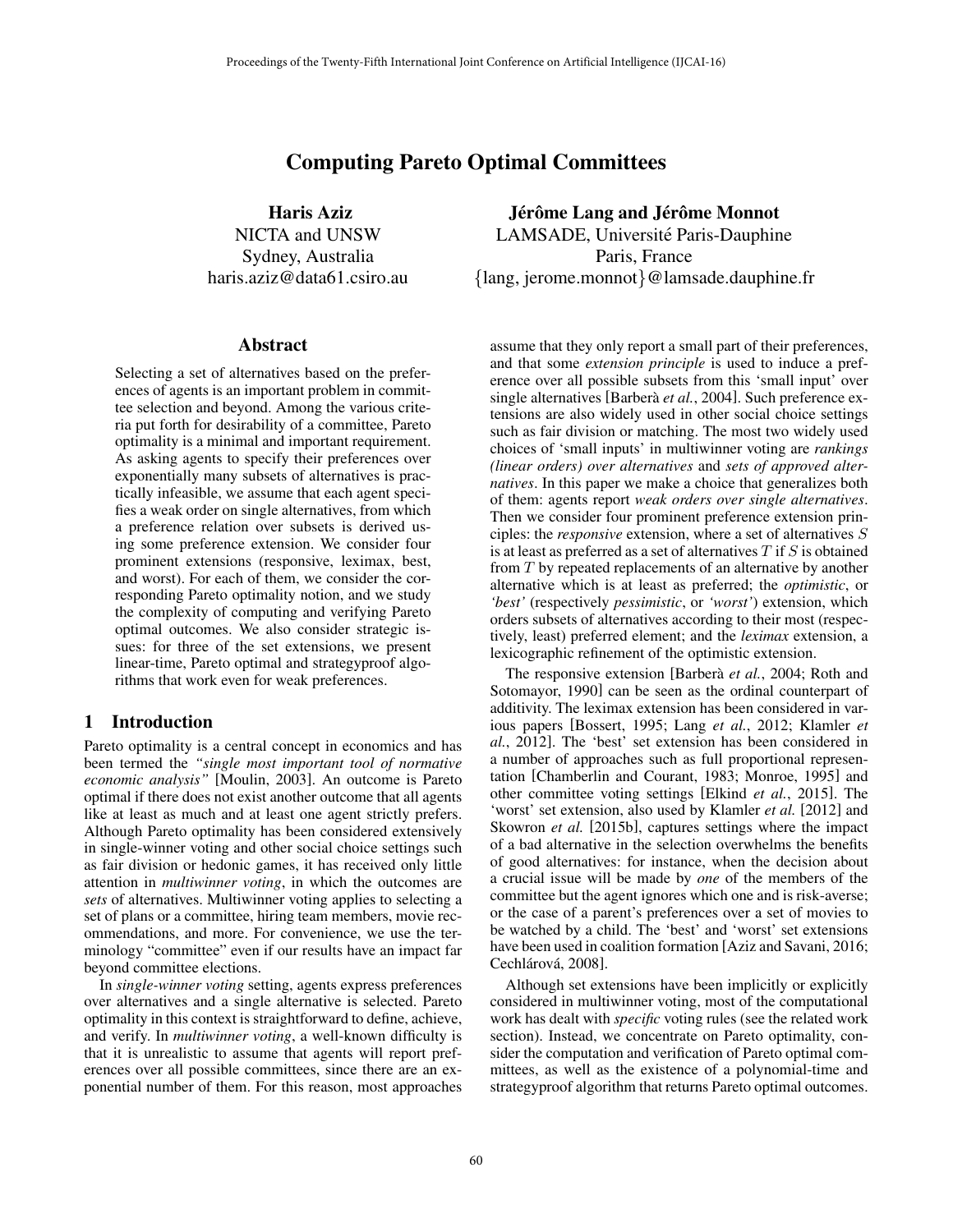# Computing Pareto Optimal Committees

Haris Aziz NICTA and UNSW Sydney, Australia haris.aziz@data61.csiro.au

### Abstract

Selecting a set of alternatives based on the preferences of agents is an important problem in committee selection and beyond. Among the various criteria put forth for desirability of a committee, Pareto optimality is a minimal and important requirement. As asking agents to specify their preferences over exponentially many subsets of alternatives is practically infeasible, we assume that each agent specifies a weak order on single alternatives, from which a preference relation over subsets is derived using some preference extension. We consider four prominent extensions (responsive, leximax, best, and worst). For each of them, we consider the corresponding Pareto optimality notion, and we study the complexity of computing and verifying Pareto optimal outcomes. We also consider strategic issues: for three of the set extensions, we present linear-time, Pareto optimal and strategyproof algorithms that work even for weak preferences.

# 1 Introduction

Pareto optimality is a central concept in economics and has been termed the *"single most important tool of normative economic analysis"* [Moulin, 2003]. An outcome is Pareto optimal if there does not exist another outcome that all agents like at least as much and at least one agent strictly prefers. Although Pareto optimality has been considered extensively in single-winner voting and other social choice settings such as fair division or hedonic games, it has received only little attention in *multiwinner voting*, in which the outcomes are *sets* of alternatives. Multiwinner voting applies to selecting a set of plans or a committee, hiring team members, movie recommendations, and more. For convenience, we use the terminology "committee" even if our results have an impact far beyond committee elections.

In *single-winner voting* setting, agents express preferences over alternatives and a single alternative is selected. Pareto optimality in this context is straightforward to define, achieve, and verify. In *multiwinner voting*, a well-known difficulty is that it is unrealistic to assume that agents will report preferences over all possible committees, since there are an exponential number of them. For this reason, most approaches

Jérôme Lang and Jérôme Monnot LAMSADE, Université Paris-Dauphine Paris, France *{*lang, jerome.monnot*}*@lamsade.dauphine.fr

assume that they only report a small part of their preferences, and that some *extension principle* is used to induce a preference over all possible subsets from this 'small input' over single alternatives [Barberà *et al.*, 2004]. Such preference extensions are also widely used in other social choice settings such as fair division or matching. The most two widely used choices of 'small inputs' in multiwinner voting are *rankings (linear orders) over alternatives* and *sets of approved alternatives*. In this paper we make a choice that generalizes both of them: agents report *weak orders over single alternatives*. Then we consider four prominent preference extension principles: the *responsive* extension, where a set of alternatives *S* is at least as preferred as a set of alternatives *T* if *S* is obtained from *T* by repeated replacements of an alternative by another alternative which is at least as preferred; the *optimistic*, or *'best'* (respectively *pessimistic*, or *'worst'*) extension, which orders subsets of alternatives according to their most (respectively, least) preferred element; and the *leximax* extension, a lexicographic refinement of the optimistic extension.

The responsive extension [Barberà et al., 2004; Roth and Sotomayor, 1990] can be seen as the ordinal counterpart of additivity. The leximax extension has been considered in various papers [Bossert, 1995; Lang *et al.*, 2012; Klamler *et al.*, 2012]. The 'best' set extension has been considered in a number of approaches such as full proportional representation [Chamberlin and Courant, 1983; Monroe, 1995] and other committee voting settings [Elkind *et al.*, 2015]. The 'worst' set extension, also used by Klamler *et al.* [2012] and Skowron *et al.* [2015b], captures settings where the impact of a bad alternative in the selection overwhelms the benefits of good alternatives: for instance, when the decision about a crucial issue will be made by *one* of the members of the committee but the agent ignores which one and is risk-averse; or the case of a parent's preferences over a set of movies to be watched by a child. The 'best' and 'worst' set extensions have been used in coalition formation [Aziz and Savani, 2016; Cechlárová, 2008].

Although set extensions have been implicitly or explicitly considered in multiwinner voting, most of the computational work has dealt with *specific* voting rules (see the related work section). Instead, we concentrate on Pareto optimality, consider the computation and verification of Pareto optimal committees, as well as the existence of a polynomial-time and strategyproof algorithm that returns Pareto optimal outcomes.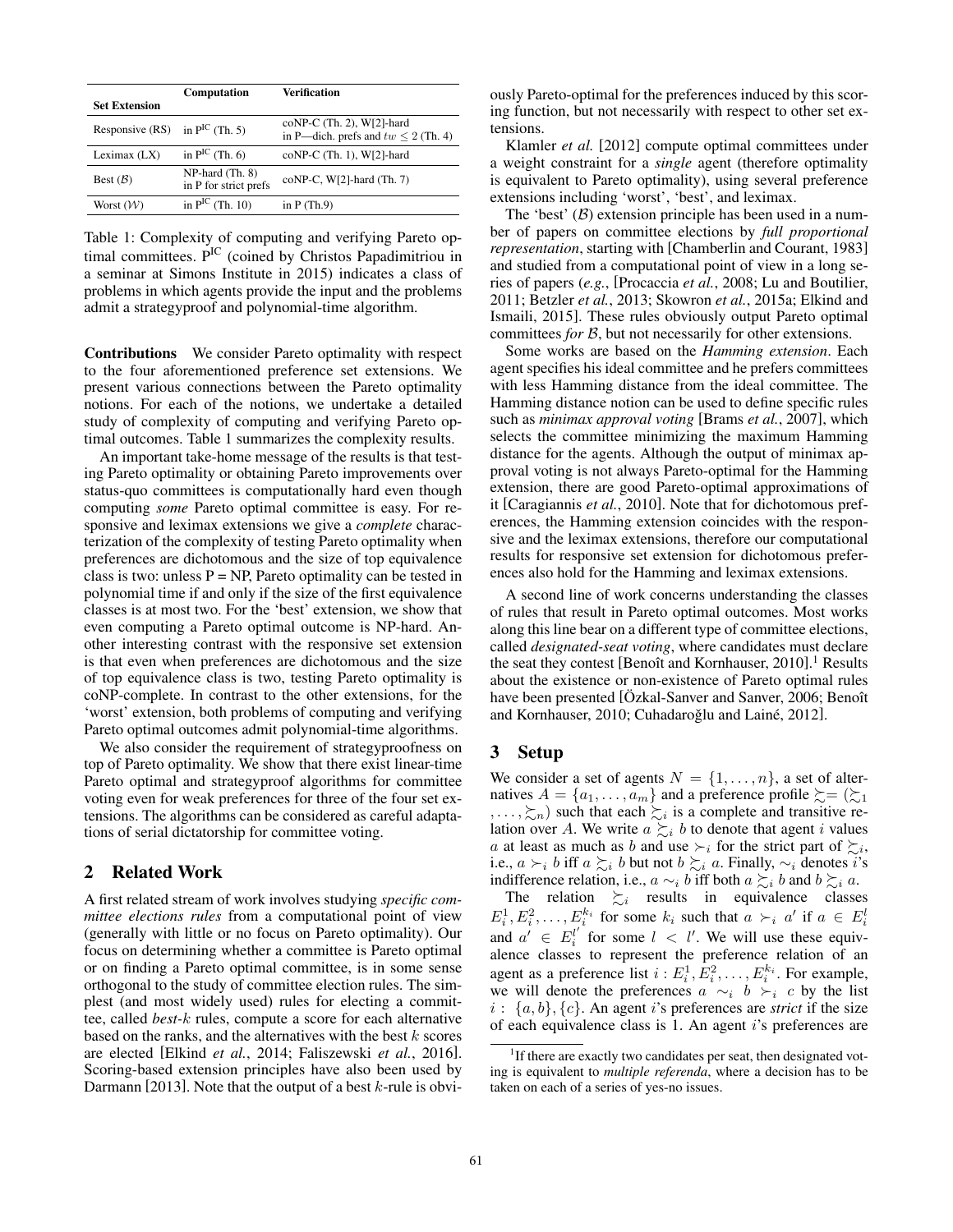|                       | Computation                              | Verification                                                               |
|-----------------------|------------------------------------------|----------------------------------------------------------------------------|
| <b>Set Extension</b>  |                                          |                                                                            |
| Responsive (RS)       | in $P^{IC}$ (Th. 5)                      | $coNP-C$ (Th. 2), $W[2]$ -hard<br>in P—dich. prefs and $tw \leq 2$ (Th. 4) |
| Leximax (LX)          | in $P^{IC}$ (Th. 6)                      | coNP-C (Th. 1), W[2]-hard                                                  |
| Best $(B)$            | NP-hard (Th. 8)<br>in P for strict prefs | $coNP-C$ , $W[2]$ -hard (Th. 7)                                            |
| Worst $(\mathcal{W})$ | in $P^{IC}$ (Th. 10)                     | in $P(Th.9)$                                                               |

Table 1: Complexity of computing and verifying Pareto optimal committees. P<sup>IC</sup> (coined by Christos Papadimitriou in a seminar at Simons Institute in 2015) indicates a class of problems in which agents provide the input and the problems admit a strategyproof and polynomial-time algorithm.

Contributions We consider Pareto optimality with respect to the four aforementioned preference set extensions. We present various connections between the Pareto optimality notions. For each of the notions, we undertake a detailed study of complexity of computing and verifying Pareto optimal outcomes. Table 1 summarizes the complexity results.

An important take-home message of the results is that testing Pareto optimality or obtaining Pareto improvements over status-quo committees is computationally hard even though computing *some* Pareto optimal committee is easy. For responsive and leximax extensions we give a *complete* characterization of the complexity of testing Pareto optimality when preferences are dichotomous and the size of top equivalence class is two: unless  $P = NP$ , Pareto optimality can be tested in polynomial time if and only if the size of the first equivalence classes is at most two. For the 'best' extension, we show that even computing a Pareto optimal outcome is NP-hard. Another interesting contrast with the responsive set extension is that even when preferences are dichotomous and the size of top equivalence class is two, testing Pareto optimality is coNP-complete. In contrast to the other extensions, for the 'worst' extension, both problems of computing and verifying Pareto optimal outcomes admit polynomial-time algorithms.

We also consider the requirement of strategyproofness on top of Pareto optimality. We show that there exist linear-time Pareto optimal and strategyproof algorithms for committee voting even for weak preferences for three of the four set extensions. The algorithms can be considered as careful adaptations of serial dictatorship for committee voting.

# 2 Related Work

A first related stream of work involves studying *specific committee elections rules* from a computational point of view (generally with little or no focus on Pareto optimality). Our focus on determining whether a committee is Pareto optimal or on finding a Pareto optimal committee, is in some sense orthogonal to the study of committee election rules. The simplest (and most widely used) rules for electing a committee, called *best-k* rules, compute a score for each alternative based on the ranks, and the alternatives with the best *k* scores are elected [Elkind *et al.*, 2014; Faliszewski *et al.*, 2016]. Scoring-based extension principles have also been used by Darmann [2013]. Note that the output of a best *k*-rule is obviously Pareto-optimal for the preferences induced by this scoring function, but not necessarily with respect to other set extensions.

Klamler *et al.* [2012] compute optimal committees under a weight constraint for a *single* agent (therefore optimality is equivalent to Pareto optimality), using several preference extensions including 'worst', 'best', and leximax.

The 'best'  $(B)$  extension principle has been used in a number of papers on committee elections by *full proportional representation*, starting with [Chamberlin and Courant, 1983] and studied from a computational point of view in a long series of papers (*e.g.*, [Procaccia *et al.*, 2008; Lu and Boutilier, 2011; Betzler *et al.*, 2013; Skowron *et al.*, 2015a; Elkind and Ismaili, 2015]. These rules obviously output Pareto optimal committees *for B*, but not necessarily for other extensions.

Some works are based on the *Hamming extension*. Each agent specifies his ideal committee and he prefers committees with less Hamming distance from the ideal committee. The Hamming distance notion can be used to define specific rules such as *minimax approval voting* [Brams *et al.*, 2007], which selects the committee minimizing the maximum Hamming distance for the agents. Although the output of minimax approval voting is not always Pareto-optimal for the Hamming extension, there are good Pareto-optimal approximations of it [Caragiannis *et al.*, 2010]. Note that for dichotomous preferences, the Hamming extension coincides with the responsive and the leximax extensions, therefore our computational results for responsive set extension for dichotomous preferences also hold for the Hamming and leximax extensions.

A second line of work concerns understanding the classes of rules that result in Pareto optimal outcomes. Most works along this line bear on a different type of committee elections, called *designated-seat voting*, where candidates must declare the seat they contest [Benoît and Kornhauser, 2010].<sup>1</sup> Results about the existence or non-existence of Pareto optimal rules have been presented [Ozkal-Sanver and Sanver, 2006; Benoît and Kornhauser, 2010; Cuhadaroğlu and Lainé, 2012].

# 3 Setup

We consider a set of agents  $N = \{1, \ldots, n\}$ , a set of alternatives  $A = \{a_1, \ldots, a_m\}$  and a preference profile  $\succsim = (\succsim_1)$  $, \ldots, \sum_{n}$  such that each  $\sum_{i}$  is a complete and transitive relation over A. We write  $a \succsim_i b$  to denote that agent *i* values *a* at least as much as *b* and use  $\succ_i$  for the strict part of  $\succsim_i$ , i.e.,  $a \succ_i b$  iff  $a \succsim_i b$  but not  $b \succsim_i a$ . Finally,  $\sim_i$  denotes *i*'s indifference relation, i.e.,  $a \sim_i b$  iff both  $a \succsim_i b$  and  $b \succsim_i a$ .

The relation  $\succsim_i$  results in equivalence classes  $E_i^1, E_i^2, \ldots, E_i^{k_i}$  for some  $k_i$  such that  $a \succ_i a'$  if  $a \in E_i^l$ and  $a' \in E_i^{l'}$  for some  $l < l'$ . We will use these equivalence classes to represent the preference relation of an agent as a preference list  $i : E_i^1, E_i^2, \ldots, E_i^{k_i}$ . For example, we will denote the preferences  $a \sim_i b \succ_i c$  by the list  $i : \{a, b\}, \{c\}$ . An agent *i*'s preferences are *strict* if the size of each equivalence class is 1. An agent *i*'s preferences are

<sup>&</sup>lt;sup>1</sup>If there are exactly two candidates per seat, then designated voting is equivalent to *multiple referenda*, where a decision has to be taken on each of a series of yes-no issues.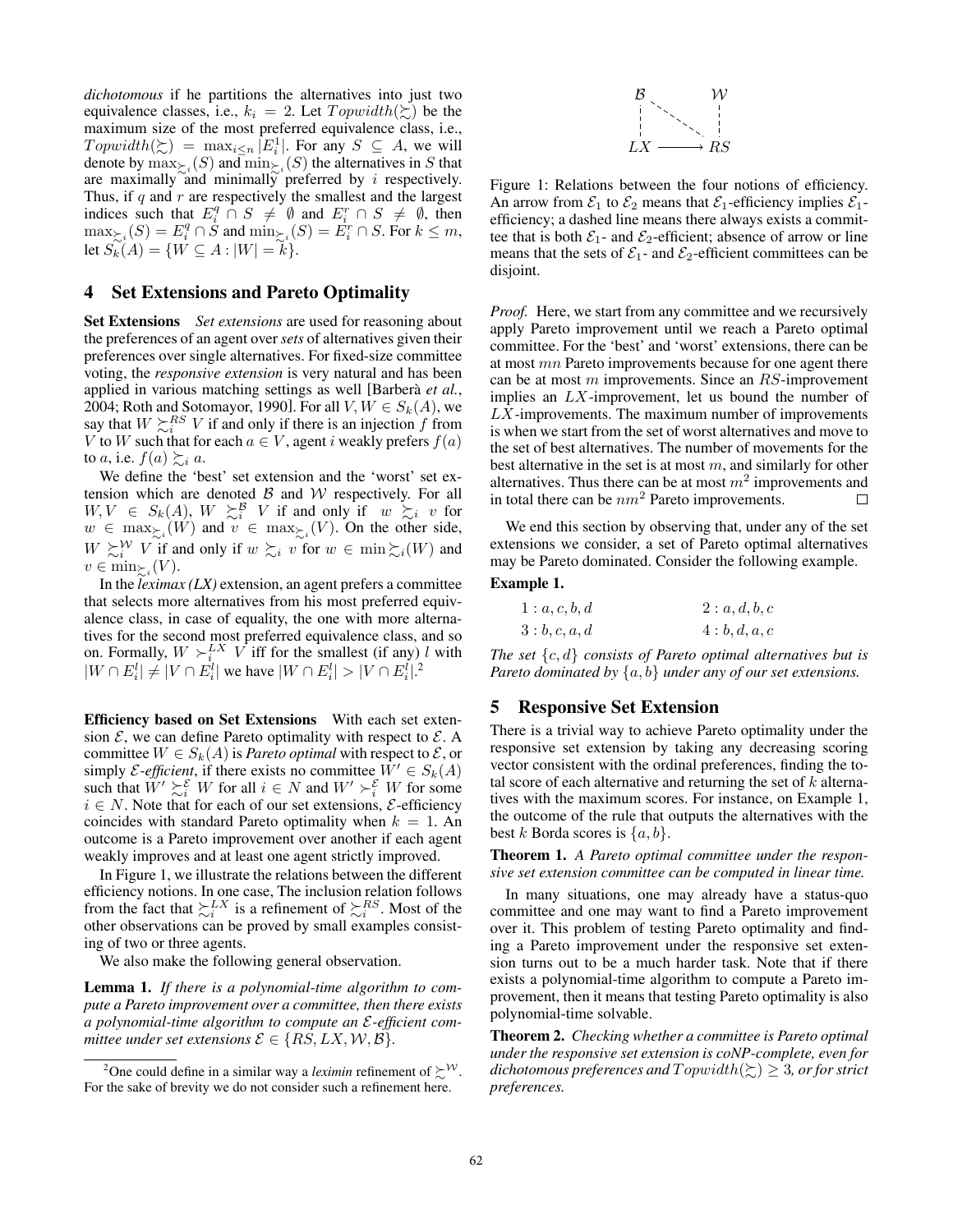*dichotomous* if he partitions the alternatives into just two equivalence classes, i.e.,  $k_i = 2$ . Let  $Topwidth(\succsim)$  be the maximum size of the most preferred equivalence class, i.e.,  $T \text{ or } \text{ } inth(\succsim) = \max_{i \leq n} |E_i^1|$ . For any  $S \subseteq A$ , we will denote by  $\max_{\succ_i} (S)$  and  $\min_{\succ_i} (S)$  the alternatives in *S* that are maximally and minimally preferred by *i* respectively. Thus, if *q* and *r* are respectively the smallest and the largest indices such that  $E_i^q \cap S \neq \emptyset$  and  $E_i^r \cap S \neq \emptyset$ , then  $\max_{\succsim_i} (S) = E_i^q \cap \dot{S}$  and  $\min_{\succsim_i} (S) = E_i^r \cap S$ . For  $k \leq m$ ,  $\text{let } S_k(A) = \{ W \subseteq A : |W| = k \}.$ 

# 4 Set Extensions and Pareto Optimality

Set Extensions *Set extensions* are used for reasoning about the preferences of an agent over *sets* of alternatives given their preferences over single alternatives. For fixed-size committee voting, the *responsive extension* is very natural and has been applied in various matching settings as well [Barbera` *et al.*, 2004; Roth and Sotomayor, 1990]. For all  $V, W \in S_k(A)$ , we say that  $W \succsim_i^{RS} V$  if and only if there is an injection  $f$  from *V* to *W* such that for each  $a \in V$ , agent *i* weakly prefers  $f(a)$ to *a*, i.e.  $f(a) \succeq_i a$ .

We define the 'best' set extension and the 'worst' set extension which are denoted *B* and *W* respectively. For all  $W, V \in S_k(A), W \succeq_i^B V$  if and only if  $w \succeq_i v$  for  $w \in \max_{\Sigma_i}(W)$  and  $v \in \max_{\Sigma_i}(V)$ . On the other side,  $W \succsim_i^W V$  if and only if  $w \succsim_i v$  for  $w \in \min \succsim_i(W)$  and  $v \in \min_{\succ_i} (V)$ .

In the *leximax (LX)* extension, an agent prefers a committee that selects more alternatives from his most preferred equivalence class, in case of equality, the one with more alternatives for the second most preferred equivalence class, and so on. Formally,  $W \succ_i^{LX} V$  iff for the smallest (if any) *l* with  $|W \cap E_i^l| \neq |V \cap E_i^l|$  we have  $|W \cap E_i^l| > |V \cap E_i^l|.$ <sup>2</sup>

Efficiency based on Set Extensions With each set extension  $\mathcal{E}$ , we can define Pareto optimality with respect to  $\mathcal{E}$ . A committee  $W \in S_k(A)$  is *Pareto optimal* with respect to  $\mathcal{E}$ , or simply *E*-efficient, if there exists no committee  $W' \in S_k(A)$ such that  $W' \succeq_i^{\mathcal{E}} W$  for all  $i \in N$  and  $W' \succeq_i^{\mathcal{E}} W$  for some  $i \in N$ . Note that for each of our set extensions,  $\mathcal{E}$ -efficiency coincides with standard Pareto optimality when  $k = 1$ . An outcome is a Pareto improvement over another if each agent weakly improves and at least one agent strictly improved.

In Figure 1, we illustrate the relations between the different efficiency notions. In one case, The inclusion relation follows from the fact that  $\succsim_i^{LX}$  is a refinement of  $\succsim_i^{RS}$ . Most of the other observations can be proved by small examples consisting of two or three agents.

We also make the following general observation.

Lemma 1. *If there is a polynomial-time algorithm to compute a Pareto improvement over a committee, then there exists a polynomial-time algorithm to compute an E-efficient committee under set extensions*  $\mathcal{E} \in \{RS, LX, W, B\}.$ 



Figure 1: Relations between the four notions of efficiency. An arrow from  $\mathcal{E}_1$  to  $\mathcal{E}_2$  means that  $\mathcal{E}_1$ -efficiency implies  $\mathcal{E}_1$ efficiency; a dashed line means there always exists a committee that is both  $\mathcal{E}_1$ - and  $\mathcal{E}_2$ -efficient; absence of arrow or line means that the sets of  $\mathcal{E}_1$ - and  $\mathcal{E}_2$ -efficient committees can be disjoint.

*Proof.* Here, we start from any committee and we recursively apply Pareto improvement until we reach a Pareto optimal committee. For the 'best' and 'worst' extensions, there can be at most *mn* Pareto improvements because for one agent there can be at most *m* improvements. Since an *RS*-improvement implies an *LX*-improvement, let us bound the number of *LX*-improvements. The maximum number of improvements is when we start from the set of worst alternatives and move to the set of best alternatives. The number of movements for the best alternative in the set is at most *m*, and similarly for other alternatives. Thus there can be at most  $m<sup>2</sup>$  improvements and in total there can be *nm*<sup>2</sup> Pareto improvements.  $\Box$ 

We end this section by observing that, under any of the set extensions we consider, a set of Pareto optimal alternatives may be Pareto dominated. Consider the following example.

## Example 1.

| 1 : a, c, b, d | 2:a,d,b,c |
|----------------|-----------|
| 3:b,c,a,d      | 4:b,d,a,c |

*The set {c, d} consists of Pareto optimal alternatives but is Pareto dominated by {a, b} under any of our set extensions.*

### 5 Responsive Set Extension

There is a trivial way to achieve Pareto optimality under the responsive set extension by taking any decreasing scoring vector consistent with the ordinal preferences, finding the total score of each alternative and returning the set of *k* alternatives with the maximum scores. For instance, on Example 1, the outcome of the rule that outputs the alternatives with the best *k* Borda scores is *{a, b}*.

Theorem 1. *A Pareto optimal committee under the responsive set extension committee can be computed in linear time.*

In many situations, one may already have a status-quo committee and one may want to find a Pareto improvement over it. This problem of testing Pareto optimality and finding a Pareto improvement under the responsive set extension turns out to be a much harder task. Note that if there exists a polynomial-time algorithm to compute a Pareto improvement, then it means that testing Pareto optimality is also polynomial-time solvable.

Theorem 2. *Checking whether a committee is Pareto optimal under the responsive set extension is coNP-complete, even for dichotomous preferences and*  $T$ *opwidth* $(\succcurlyeq) \geq 3$ *, or for strict preferences.*

<sup>&</sup>lt;sup>2</sup>One could define in a similar way a *leximin* refinement of  $\succsim^{\mathcal{W}}$ . For the sake of brevity we do not consider such a refinement here.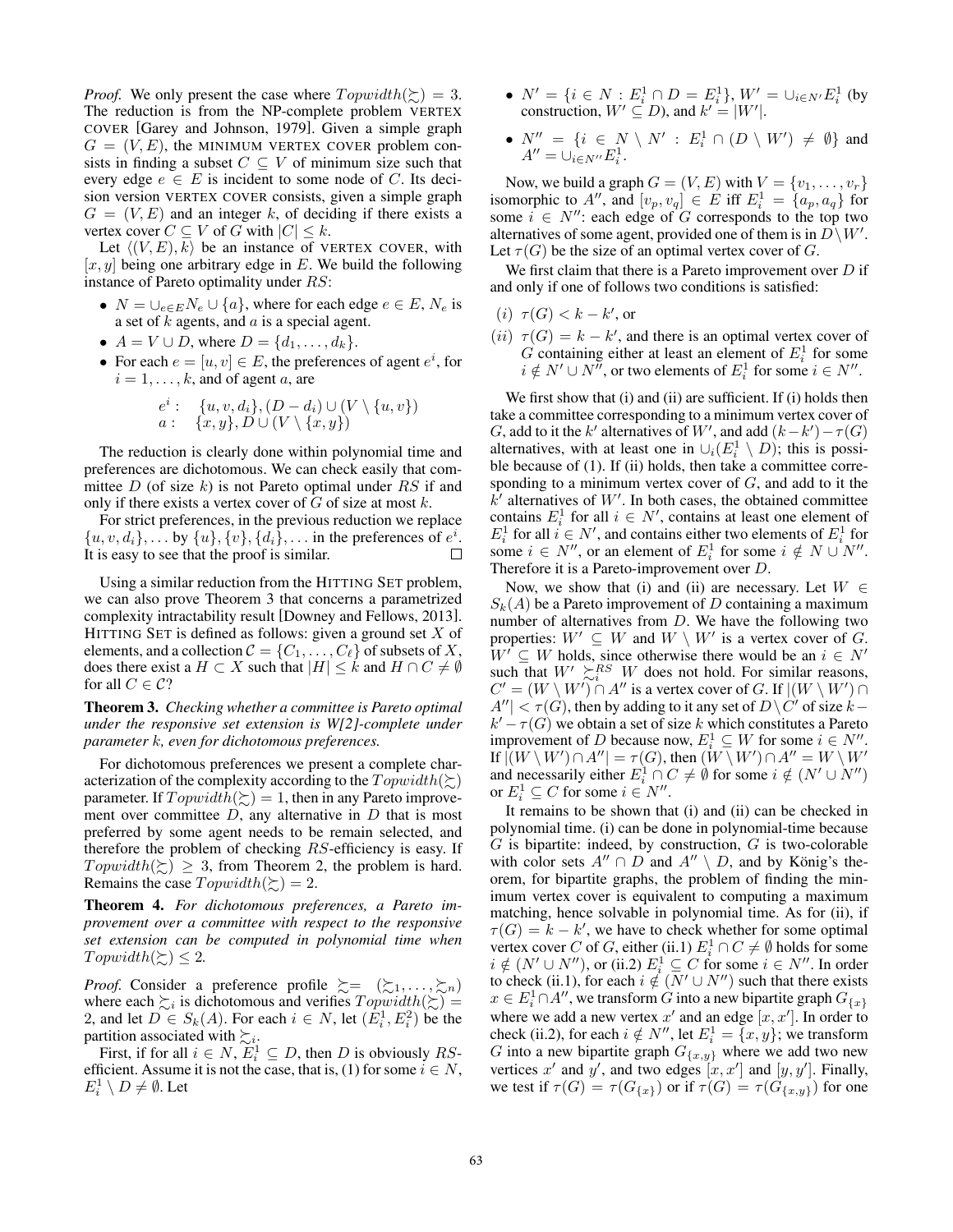*Proof.* We only present the case where  $T$ *opwidth*( $\succeq$ ) = 3. The reduction is from the NP-complete problem VERTEX COVER [Garey and Johnson, 1979]. Given a simple graph  $G = (V, E)$ , the MINIMUM VERTEX COVER problem consists in finding a subset  $C \subseteq V$  of minimum size such that every edge  $e \in E$  is incident to some node of *C*. Its decision version VERTEX COVER consists, given a simple graph  $G = (V, E)$  and an integer *k*, of deciding if there exists a vertex cover  $C \subseteq V$  of  $G$  with  $|C| \leq k$ .

Let  $\langle (V, E), k \rangle$  be an instance of VERTEX COVER, with [*x, y*] being one arbitrary edge in *E*. We build the following instance of Pareto optimality under *RS*:

- $N = \bigcup_{e \in E} N_e \cup \{a\}$ , where for each edge  $e \in E$ ,  $N_e$  is a set of *k* agents, and *a* is a special agent.
- $A = V \cup D$ , where  $D = \{d_1, \ldots, d_k\}$ .
- For each  $e = [u, v] \in E$ , the preferences of agent  $e^i$ , for  $i = 1, \ldots, k$ , and of agent *a*, are

$$
e^i: \{u, v, d_i\}, (D - d_i) \cup (V \setminus \{u, v\})
$$
  

$$
a: \{x, y\}, D \cup (V \setminus \{x, y\})
$$

The reduction is clearly done within polynomial time and preferences are dichotomous. We can check easily that committee *D* (of size *k*) is not Pareto optimal under *RS* if and only if there exists a vertex cover of *G* of size at most *k*.

For strict preferences, in the previous reduction we replace  $\{u, v, d_i\},\ldots$  by  $\{u\}, \{v\}, \{d_i\},\ldots$  in the preferences of  $e^i$ . It is easy to see that the proof is similar.

Using a similar reduction from the HITTING SET problem, we can also prove Theorem 3 that concerns a parametrized complexity intractability result [Downey and Fellows, 2013]. HITTING SET is defined as follows: given a ground set *X* of elements, and a collection  $C = \{C_1, \ldots, C_\ell\}$  of subsets of *X*, does there exist a  $H \subset X$  such that  $|H| \leq k$  and  $H \cap C \neq \emptyset$ for all  $C \in \mathcal{C}$ ?

Theorem 3. *Checking whether a committee is Pareto optimal under the responsive set extension is W[2]-complete under parameter k, even for dichotomous preferences.*

For dichotomous preferences we present a complete characterization of the complexity according to the  $T$ *opwidth*( $\succeq$ ) parameter. If  $Topwidth(\succsim)=1$ , then in any Pareto improvement over committee *D*, any alternative in *D* that is most preferred by some agent needs to be remain selected, and therefore the problem of checking *RS*-efficiency is easy. If  $T \text{ or } \text{ord}th(\succsim) \geq 3$ , from Theorem 2, the problem is hard. Remains the case  $T$ *opwidth*( $\succeq$ ) = 2.

Theorem 4. *For dichotomous preferences, a Pareto improvement over a committee with respect to the responsive set extension can be computed in polynomial time when*  $T$ *opwidth*( $\succsim$ )  $\leq$  2*.* 

*Proof.* Consider a preference profile  $\succeq = (\succsim_1, \ldots, \succsim_n)$ where each  $\sum_i$  is dichotomous and verifies  $Topwidth(\Sigma)$  = 2, and let  $D \in S_k(A)$ . For each  $i \in N$ , let  $(E_i^1, E_i^2)$  be the partition associated with  $\succsim_i$ .

First, if for all  $i \in N$ ,  $E_i^1 \subseteq D$ , then *D* is obviously *RS*efficient. Assume it is not the case, that is, (1) for some  $i \in N$ ,  $E_i^1 \setminus D \neq \emptyset$ . Let

- $N' = \{i \in N : E_i^1 \cap D = E_i^1\}, W' = \cup_{i \in N'} E_i^1$  (by construction,  $W' \subseteq D$ ), and  $k' = |W'|$ .
- $N'' = \{i \in N \setminus N' : E_i^1 \cap (D \setminus W') \neq \emptyset\}$  and  $A'' = \bigcup_{i \in N''} E_i^1.$

Now, we build a graph  $G = (V, E)$  with  $V = \{v_1, \ldots, v_r\}$ isomorphic to  $A''$ , and  $[v_p, v_q] \in E$  iff  $E_i^1 = \{a_p, a_q\}$  for some  $i \in N''$ : each edge of *G* corresponds to the top two alternatives of some agent, provided one of them is in  $D\backslash W'$ . Let  $\tau(G)$  be the size of an optimal vertex cover of *G*.

We first claim that there is a Pareto improvement over *D* if and only if one of follows two conditions is satisfied:

- $(i) \tau(G) < k k'$ , or
- $(iii) \tau(G) = k k'$ , and there is an optimal vertex cover of *G* containing either at least an element of  $E_i^1$  for some  $i \notin N' \cup N''$ , or two elements of  $E_i^1$  for some  $i \in N''$ .

We first show that (i) and (ii) are sufficient. If (i) holds then take a committee corresponding to a minimum vertex cover of *G*, add to it the *k'* alternatives of *W'*, and add  $(k - k') - \tau(G)$ alternatives, with at least one in  $\cup_i (E_i^1 \setminus D)$ ; this is possible because of (1). If (ii) holds, then take a committee corresponding to a minimum vertex cover of *G*, and add to it the  $k<sup>′</sup>$  alternatives of *W'*. In both cases, the obtained committee contains  $E_i^1$  for all  $i \in N'$ , contains at least one element of  $E_i^1$  for all  $i \in N'$ , and contains either two elements of  $E_i^1$  for some  $i \in N''$ , or an element of  $E_i^1$  for some  $i \notin N \cup N''$ . Therefore it is a Pareto-improvement over *D*.

Now, we show that (i) and (ii) are necessary. Let  $W \in$  $S_k(A)$  be a Pareto improvement of *D* containing a maximum number of alternatives from *D*. We have the following two properties:  $W' \subseteq W$  and  $W \setminus W'$  is a vertex cover of *G*.  $W' \subseteq W$  holds, since otherwise there would be an  $i \in N'$ such that  $W' \succeq_i^{RS} W$  does not hold. For similar reasons,  $C' = (W \setminus W') \cap A''$  is a vertex cover of *G*. If  $|(W \setminus W') \cap A''|$  $A''$   $|< \tau(G)$ , then by adding to it any set of  $D \setminus C'$  of size  $k$  $k' - \tau(G)$  we obtain a set of size *k* which constitutes a Pareto improvement of *D* because now,  $E_i^1 \subseteq W$  for some  $i \in N''$ .  $\text{If } |(W \setminus W') \cap A''| = \tau(G), \text{ then } (W \setminus W') \cap A'' = W \setminus W'$ and necessarily either  $E_i^1 \cap C \neq \emptyset$  for some  $i \notin (N' \cup N'')$ or  $E_i^1 \subseteq C$  for some  $i \in N''$ .

It remains to be shown that (i) and (ii) can be checked in polynomial time. (i) can be done in polynomial-time because *G* is bipartite: indeed, by construction, *G* is two-colorable with color sets  $A'' \cap D$  and  $A'' \setminus D$ , and by König's theorem, for bipartite graphs, the problem of finding the minimum vertex cover is equivalent to computing a maximum matching, hence solvable in polynomial time. As for (ii), if  $\tau(G) = k - k'$ , we have to check whether for some optimal vertex cover *C* of *G*, either (ii.1)  $E_i^1 \cap C \neq \emptyset$  holds for some  $i \notin (N' \cup N'')$ , or (ii.2)  $E_i^1 \subseteq C$  for some  $i \in N''$ . In order to check (ii.1), for each  $i \notin (N' \cup N'')$  such that there exists  $x \in E_i^1 \cap A$ <sup>*u*</sup>, we transform *G* into a new bipartite graph  $G_{\{x\}}$ where we add a new vertex  $x'$  and an edge  $[x, x']$ . In order to check (ii.2), for each  $i \notin N''$ , let  $E_i^1 = \{x, y\}$ ; we transform *G* into a new bipartite graph  $G_{\{x,y\}}$  where we add two new vertices  $x'$  and  $y'$ , and two edges  $[x, x']$  and  $[y, y']$ . Finally, we test if  $\tau(G) = \tau(G_{\{x\}})$  or if  $\tau(G) = \tau(G_{\{x,y\}})$  for one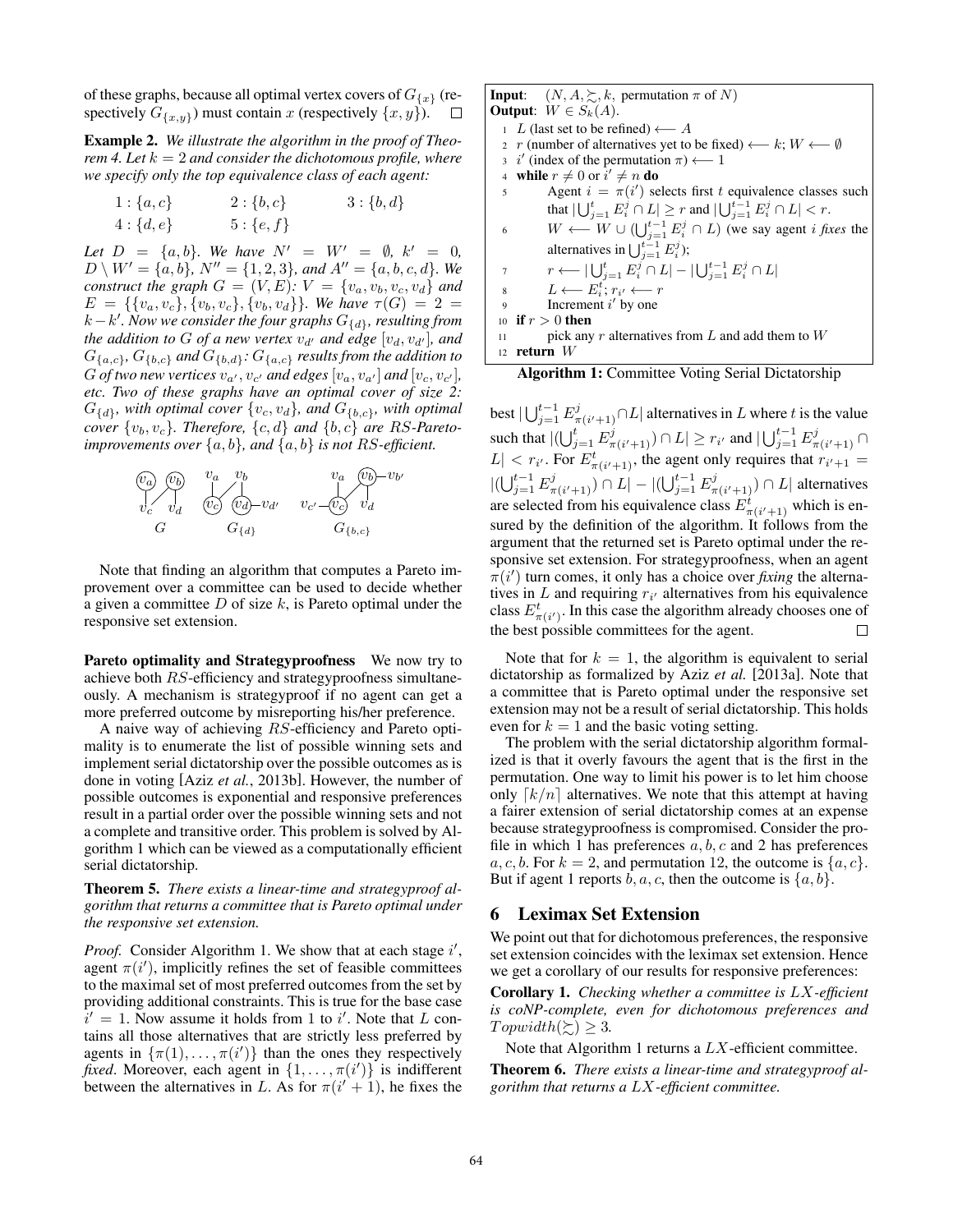of these graphs, because all optimal vertex covers of  $G_{\{x\}}$  (respectively  $G_{\{x,y\}}$  must contain *x* (respectively  $\{x,y\}$ ).  $\Box$ 

Example 2. *We illustrate the algorithm in the proof of Theorem 4. Let*  $k = 2$  *and consider the dichotomous profile, where we specify only the top equivalence class of each agent:*

1: 
$$
\{a, c\}
$$
  
2:  $\{b, c\}$   
3:  $\{b, d\}$   
4:  $\{d, e\}$   
5:  $\{e, f\}$ 

*Let*  $D = \{a, b\}$ *. We have*  $N' = W' = \emptyset$ *,*  $k' = 0$ *,*  $D \setminus W' = \{a, b\}$ ,  $N'' = \{1, 2, 3\}$ , and  $A'' = \{a, b, c, d\}$ . We *construct the graph*  $G = (V, E)$ :  $V = \{v_a, v_b, v_c, v_d\}$  and  $E = \{\{v_a, v_c\}, \{v_b, v_c\}, \{v_b, v_d\}\}\$ . We have  $\tau(G) = 2 =$  $k - k'$ . Now we consider the four graphs  $G_{\{d\}}$ , resulting from *the addition to G of a new vertex*  $v_{d'}$  *and edge*  $[v_d, v_{d'}]$ *, and*  $G_{\{a,c\}}$ *,*  $G_{\{b,c\}}$  and  $G_{\{b,d\}}$ *:*  $G_{\{a,c\}}$  *results from the addition to G of two new vertices*  $v_a$ ,  $v_{c}$  *and edges*  $[v_a, v_{a}]$  *and*  $[v_c, v_{c}$ <sup>*,*</sup> $]$ *, etc. Two of these graphs have an optimal cover of size 2:*  $G_{\{d\}}$ *, with optimal cover*  $\{v_c, v_d\}$ *, and*  $G_{\{b,c\}}$ *, with optimal cover*  $\{v_b, v_c\}$ *. Therefore,*  $\{c, d\}$  *and*  $\{b, c\}$  *are RS-Paretoimprovements over {a, b}, and {a, b} is not RS-efficient.*



Note that finding an algorithm that computes a Pareto improvement over a committee can be used to decide whether a given a committee *D* of size *k*, is Pareto optimal under the responsive set extension.

Pareto optimality and Strategyproofness We now try to achieve both *RS*-efficiency and strategyproofness simultaneously. A mechanism is strategyproof if no agent can get a more preferred outcome by misreporting his/her preference.

A naive way of achieving *RS*-efficiency and Pareto optimality is to enumerate the list of possible winning sets and implement serial dictatorship over the possible outcomes as is done in voting [Aziz *et al.*, 2013b]. However, the number of possible outcomes is exponential and responsive preferences result in a partial order over the possible winning sets and not a complete and transitive order. This problem is solved by Algorithm 1 which can be viewed as a computationally efficient serial dictatorship.

Theorem 5. *There exists a linear-time and strategyproof algorithm that returns a committee that is Pareto optimal under the responsive set extension.*

Proof. Consider Algorithm 1. We show that at each stage i', agent  $\pi(i')$ , implicitly refines the set of feasible committees to the maximal set of most preferred outcomes from the set by providing additional constraints. This is true for the base case  $i' = 1$ . Now assume it holds from 1 to *i*'. Note that *L* contains all those alternatives that are strictly less preferred by agents in  $\{\pi(1), \ldots, \pi(i')\}$  than the ones they respectively *fixed*. Moreover, each agent in  $\{1, \ldots, \pi(i')\}$  is indifferent between the alternatives in L. As for  $\pi(i'+1)$ , he fixes the

**Input:**  $(N, A, \succeq, k,$  permutation  $\pi$  of *N*) Output:  $W \in S_k(A)$ . <sup>1</sup> *L* (last set to be refined)  $\leftarrow$  *A*<br><sup>2</sup> *r* (number of alternatives vet to 2 *r* (number of alternatives yet to be fixed)  $\leftarrow k$ ;  $W \leftarrow \emptyset$ <br>3 *i'* (index of the permutation  $\pi$ )  $\leftarrow$  1 3 *i*<sup> $\prime$ </sup> (index of the permutation  $\pi$ )  $\longleftarrow$  1 4 while  $r \neq 0$  or  $i' \neq n$  do  $5$  Agent  $i = \pi(i')$  selects first *t* equivalence classes such that  $|\bigcup_{j=1}^{t} E_i^j \cap L| \geq r$  and  $|\bigcup_{j=1}^{t-1} E_i^j \cap L| < r$ . 6 *W*  $\leftarrow$  *W*  $\cup$   $(\bigcup_{j=1}^{t-1} E_i^j \cap L)$  (we say agent *i fixes* the alternatives in  $\bigcup_{j=1}^{t-1} E_i^j$ ;  $r \longleftarrow |\bigcup_{j=1}^{t} E_i^j \cap L| - |\bigcup_{j=1}^{t-1} E_i^j \cap L|$ 8  $L \leftarrow E_i^t; r_{i'} \leftarrow r$ 9 Increment  $i'$  by one <sup>10</sup> if *r >* 0 then

11 pick any 
$$
r
$$
 alternatives from  $L$  and add them to  $W$  12 return  $W$ 

#### Algorithm 1: Committee Voting Serial Dictatorship

best  $|\bigcup_{j=1}^{t-1} E^j_{\pi(i'+1)} \cap L|$  alternatives in *L* where *t* is the value such that  $|(\bigcup_{j=1}^{t} E_{\pi(i'+1)}^{j}) \cap L| \geq r_{i'}$  and  $|\bigcup_{j=1}^{t-1} E_{\pi(i'+1)}^{j} \cap L|$  $|L|$  <  $r_i$ . For  $E^t_{\pi(i'+1)}$ , the agent only requires that  $r_{i'+1}$  =  $|((\bigcup_{j=1}^{t-1} E_{\pi(i'+1)}^j) \cap L| - |((\bigcup_{j=1}^{t-1} E_{\pi(i'+1)}^j) \cap L|)$  alternatives are selected from his equivalence class  $E^t_{\pi(i'+1)}$  which is ensured by the definition of the algorithm. It follows from the argument that the returned set is Pareto optimal under the responsive set extension. For strategyproofness, when an agent  $\pi(i')$  turn comes, it only has a choice over *fixing* the alternatives in *L* and requiring  $r_i$  alternatives from his equivalence class  $E^t_{\pi(i')}$ . In this case the algorithm already chooses one of the best possible committees for the agent.

Note that for  $k = 1$ , the algorithm is equivalent to serial dictatorship as formalized by Aziz *et al.* [2013a]. Note that a committee that is Pareto optimal under the responsive set extension may not be a result of serial dictatorship. This holds even for  $k = 1$  and the basic voting setting.

The problem with the serial dictatorship algorithm formalized is that it overly favours the agent that is the first in the permutation. One way to limit his power is to let him choose only  $\lceil k/n \rceil$  alternatives. We note that this attempt at having a fairer extension of serial dictatorship comes at an expense because strategyproofness is compromised. Consider the profile in which 1 has preferences *a, b, c* and 2 has preferences  $a, c, b$ . For  $k = 2$ , and permutation 12, the outcome is  $\{a, c\}$ . But if agent 1 reports  $b, a, c$ , then the outcome is  $\{a, b\}$ .

## 6 Leximax Set Extension

We point out that for dichotomous preferences, the responsive set extension coincides with the leximax set extension. Hence we get a corollary of our results for responsive preferences:

Corollary 1. *Checking whether a committee is LX-efficient is coNP-complete, even for dichotomous preferences and*  $T$ *opwidth*( $\geq$ )  $\geq$  3*.* 

Note that Algorithm 1 returns a *LX*-efficient committee. Theorem 6. *There exists a linear-time and strategyproof algorithm that returns a LX-efficient committee.*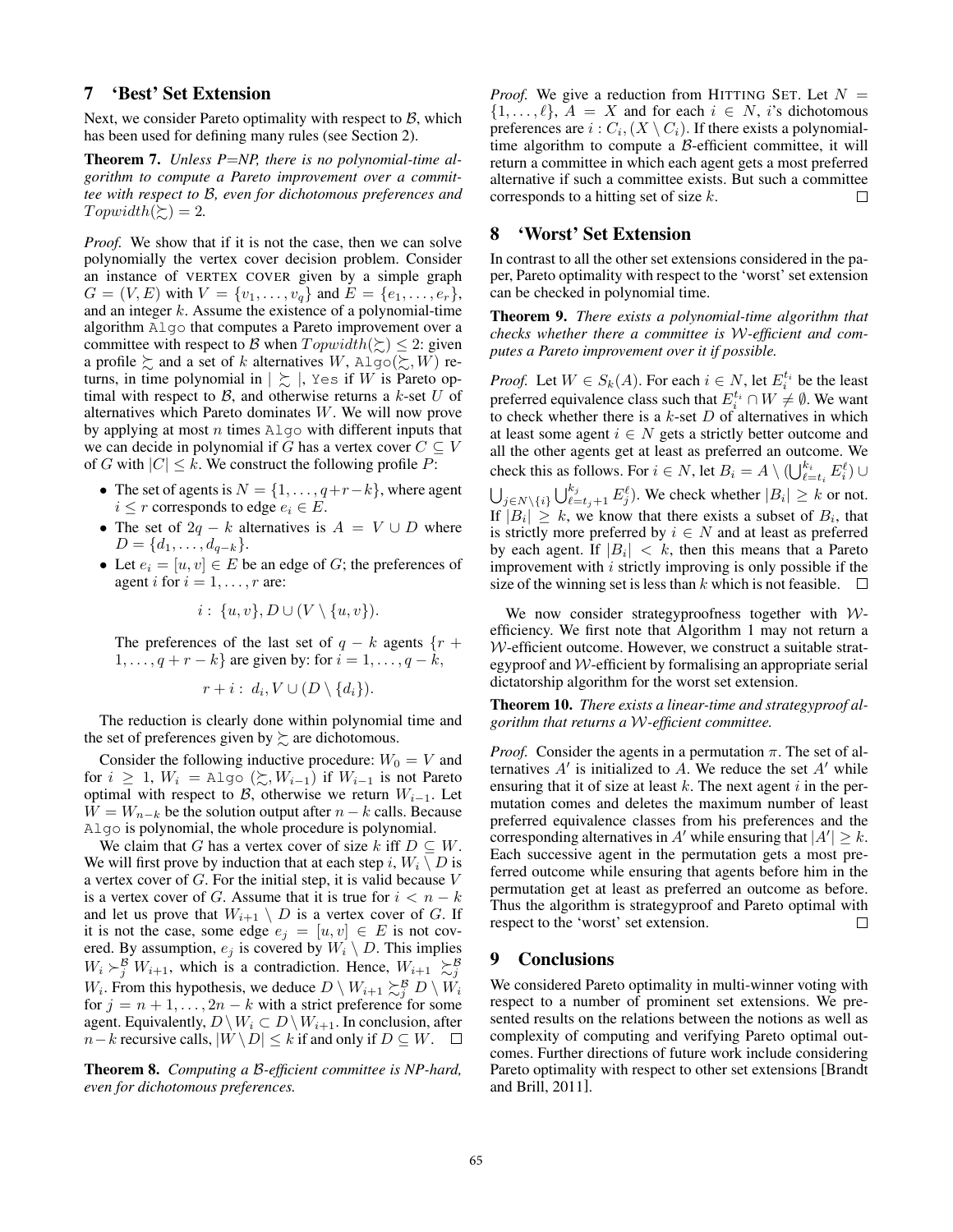# 7 'Best' Set Extension

Next, we consider Pareto optimality with respect to *B*, which has been used for defining many rules (see Section 2).

Theorem 7. *Unless P*=*NP, there is no polynomial-time algorithm to compute a Pareto improvement over a committee with respect to B, even for dichotomous preferences and*  $T$ *opwidth*( $\succeq$ ) = 2*.* 

*Proof.* We show that if it is not the case, then we can solve polynomially the vertex cover decision problem. Consider an instance of VERTEX COVER given by a simple graph  $G = (V, E)$  with  $V = \{v_1, \ldots, v_q\}$  and  $E = \{e_1, \ldots, e_r\}$ , and an integer *k*. Assume the existence of a polynomial-time algorithm Algo that computes a Pareto improvement over a committee with respect to *B* when  $Topwidth(\succeq) \leq 2$ : given a profile  $\succsim$  and a set of *k* alternatives *W*, Algo( $\succsim$ , *W*) returns, in time polynomial in  $| \succsim$   $|$ , Yes if *W* is Pareto optimal with respect to *B*, and otherwise returns a *k*-set *U* of alternatives which Pareto dominates *W*. We will now prove by applying at most *n* times Algo with different inputs that we can decide in polynomial if *G* has a vertex cover  $C \subseteq V$ of *G* with  $|C| \leq k$ . We construct the following profile *P*:

- The set of agents is  $N = \{1, \ldots, q + r k\}$ , where agent  $i \leq r$  corresponds to edge  $e_i \in E$ .
- The set of  $2q k$  alternatives is  $A = V \cup D$  where  $D = \{d_1, \ldots, d_{q-k}\}.$
- Let  $e_i = [u, v] \in E$  be an edge of *G*; the preferences of agent *i* for  $i = 1, \ldots, r$  are:

$$
i: \{u, v\}, D \cup (V \setminus \{u, v\}).
$$

The preferences of the last set of  $q - k$  agents  $\{r +$  $1, \ldots, q + r - k$  are given by: for  $i = 1, \ldots, q - k$ ,

$$
r+i: d_i, V\cup (D\setminus\{d_i\}).
$$

The reduction is clearly done within polynomial time and the set of preferences given by  $\succsim$  are dichotomous.

Consider the following inductive procedure:  $W_0 = V$  and for  $i \geq 1$ ,  $W_i = \text{Algo } (\succsim, W_{i-1})$  if  $W_{i-1}$  is not Pareto optimal with respect to  $\beta$ , otherwise we return  $W_{i-1}$ . Let  $W = W_{n-k}$  be the solution output after  $n - k$  calls. Because Algo is polynomial, the whole procedure is polynomial.

We claim that *G* has a vertex cover of size *k* iff  $D \subseteq W$ . We will first prove by induction that at each step *i*,  $W_i \setminus D$  is a vertex cover of *G*. For the initial step, it is valid because *V* is a vertex cover of *G*. Assume that it is true for  $i < n - k$ and let us prove that  $W_{i+1} \setminus D$  is a vertex cover of *G*. If it is not the case, some edge  $e_j = [u, v] \in E$  is not covered. By assumption,  $e_j$  is covered by  $W_i \setminus D$ . This implies  $W_i \succ_j^B W_{i+1}$ , which is a contradiction. Hence,  $W_{i+1} \succ_{j}^B$ *W*<sub>*i*</sub>. From this hypothesis, we deduce  $D \setminus W_{i+1} \succsim_j^B D \setminus W_i$ for  $j = n + 1, \ldots, 2n - k$  with a strict preference for some agent. Equivalently,  $D \setminus W_i \subset D \setminus W_{i+1}$ . In conclusion, after *n* – *k* recursive calls,  $|W \setminus D| \leq k$  if and only if  $D \subseteq W$ .  $\Box$ 

Theorem 8. *Computing a B-efficient committee is NP-hard, even for dichotomous preferences.*

*Proof.* We give a reduction from HITTING SET. Let  $N =$  $\{1, \ldots, \ell\}, A = X$  and for each  $i \in N$ , *i*'s dichotomous preferences are  $i: C_i, (X \setminus C_i)$ . If there exists a polynomialtime algorithm to compute a *B*-efficient committee, it will return a committee in which each agent gets a most preferred alternative if such a committee exists. But such a committee corresponds to a hitting set of size *k*. П

### 8 'Worst' Set Extension

In contrast to all the other set extensions considered in the paper, Pareto optimality with respect to the 'worst' set extension can be checked in polynomial time.

Theorem 9. *There exists a polynomial-time algorithm that checks whether there a committee is W-efficient and computes a Pareto improvement over it if possible.*

*Proof.* Let  $W \in S_k(A)$ . For each  $i \in N$ , let  $E_i^{t_i}$  be the least preferred equivalence class such that  $E_i^{t_i} \cap W \neq \emptyset$ . We want to check whether there is a *k*-set *D* of alternatives in which at least some agent  $i \in N$  gets a strictly better outcome and all the other agents get at least as preferred an outcome. We check this as follows. For  $i \in N$ , let  $B_i = A \setminus (\bigcup_{\ell=i_i}^{k_i} E_i^{\ell}) \cup$  $\bigcup_{j \in N \setminus \{i\}} \bigcup_{\ell=t_j+1}^{k_j} E_j^{\ell}$ . We check whether  $|B_i| \ge k$  or not. If  $|B_i| \geq k$ , we know that there exists a subset of  $B_i$ , that is strictly more preferred by  $i \in N$  and at least as preferred by each agent. If  $|B_i| < k$ , then this means that a Pareto improvement with *i* strictly improving is only possible if the size of the winning set is less than *k* which is not feasible.  $\square$ 

We now consider strategyproofness together with *W*efficiency. We first note that Algorithm 1 may not return a *W*-efficient outcome. However, we construct a suitable strategyproof and *W*-efficient by formalising an appropriate serial dictatorship algorithm for the worst set extension.

Theorem 10. *There exists a linear-time and strategyproof algorithm that returns a W-efficient committee.*

*Proof.* Consider the agents in a permutation  $\pi$ . The set of alternatives  $A'$  is initialized to  $A$ . We reduce the set  $A'$  while ensuring that it of size at least *k*. The next agent *i* in the permutation comes and deletes the maximum number of least preferred equivalence classes from his preferences and the corresponding alternatives in *A'* while ensuring that  $|A'| \geq k$ . Each successive agent in the permutation gets a most preferred outcome while ensuring that agents before him in the permutation get at least as preferred an outcome as before. Thus the algorithm is strategyproof and Pareto optimal with respect to the 'worst' set extension.  $\Box$ 

### 9 Conclusions

We considered Pareto optimality in multi-winner voting with respect to a number of prominent set extensions. We presented results on the relations between the notions as well as complexity of computing and verifying Pareto optimal outcomes. Further directions of future work include considering Pareto optimality with respect to other set extensions [Brandt and Brill, 2011].